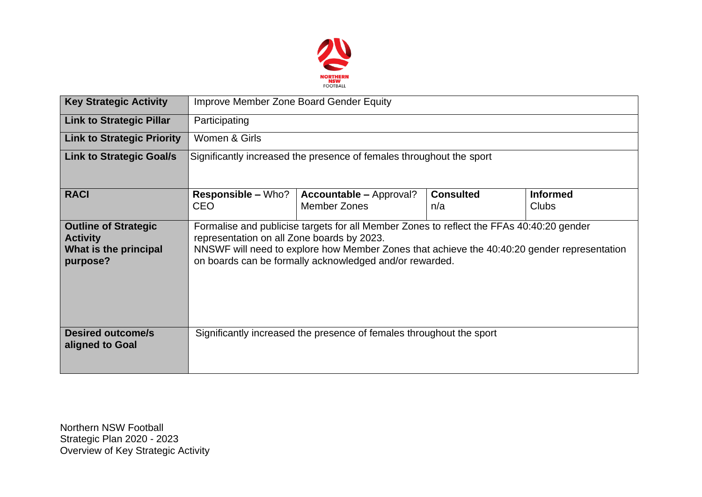

| <b>Key Strategic Activity</b>                                                       | <b>Improve Member Zone Board Gender Equity</b>                                                                                                                                                                                                                                                   |                                                                      |                         |                                 |  |  |  |  |
|-------------------------------------------------------------------------------------|--------------------------------------------------------------------------------------------------------------------------------------------------------------------------------------------------------------------------------------------------------------------------------------------------|----------------------------------------------------------------------|-------------------------|---------------------------------|--|--|--|--|
| <b>Link to Strategic Pillar</b>                                                     | Participating                                                                                                                                                                                                                                                                                    |                                                                      |                         |                                 |  |  |  |  |
| <b>Link to Strategic Priority</b>                                                   | Women & Girls                                                                                                                                                                                                                                                                                    |                                                                      |                         |                                 |  |  |  |  |
| <b>Link to Strategic Goal/s</b>                                                     | Significantly increased the presence of females throughout the sport                                                                                                                                                                                                                             |                                                                      |                         |                                 |  |  |  |  |
| <b>RACI</b>                                                                         | <b>Responsible – Who?</b><br><b>CEO</b>                                                                                                                                                                                                                                                          | <b>Accountable – Approval?</b><br>Member Zones                       | <b>Consulted</b><br>n/a | <b>Informed</b><br><b>Clubs</b> |  |  |  |  |
| <b>Outline of Strategic</b><br><b>Activity</b><br>What is the principal<br>purpose? | Formalise and publicise targets for all Member Zones to reflect the FFAs 40:40:20 gender<br>representation on all Zone boards by 2023.<br>NNSWF will need to explore how Member Zones that achieve the 40:40:20 gender representation<br>on boards can be formally acknowledged and/or rewarded. |                                                                      |                         |                                 |  |  |  |  |
| <b>Desired outcome/s</b><br>aligned to Goal                                         |                                                                                                                                                                                                                                                                                                  | Significantly increased the presence of females throughout the sport |                         |                                 |  |  |  |  |

Northern NSW Football Strategic Plan 2020 - 2023 Overview of Key Strategic Activity